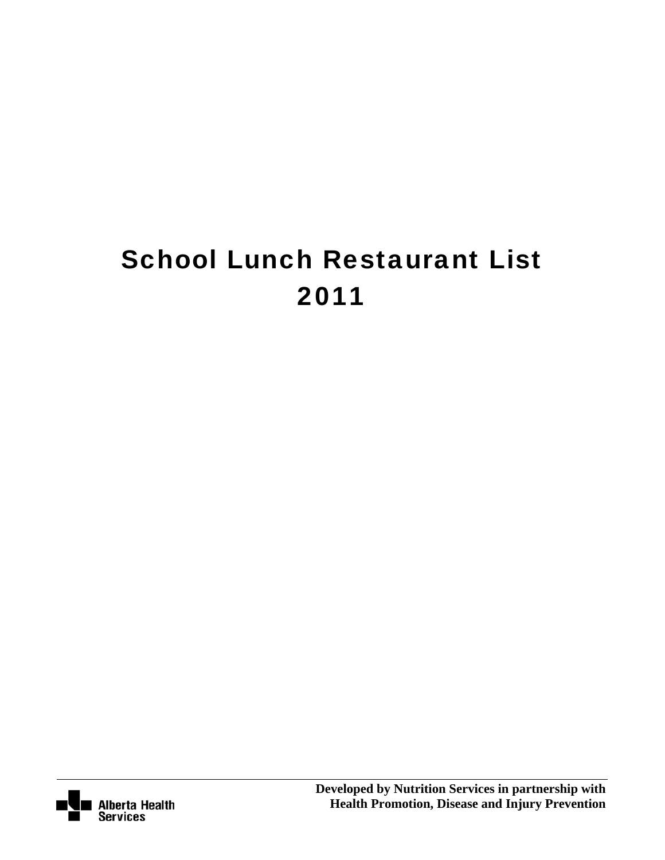# School Lunch Restaurant List 2011

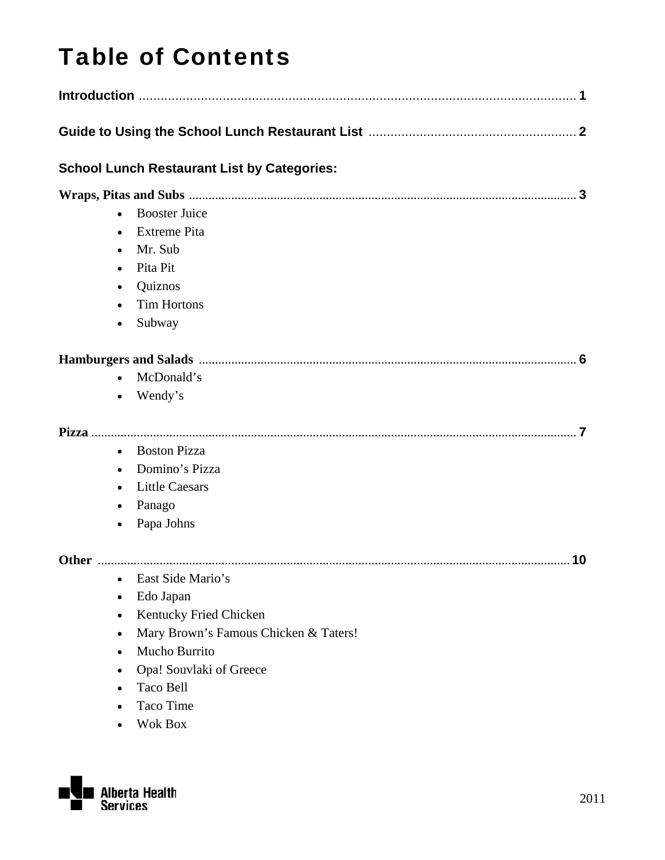## Table of Contents

|                                                  | <b>School Lunch Restaurant List by Categories:</b>                                                                                                                                 |  |  |  |  |
|--------------------------------------------------|------------------------------------------------------------------------------------------------------------------------------------------------------------------------------------|--|--|--|--|
| $\bullet$<br>$\bullet$<br>$\bullet$<br>$\bullet$ | <b>Booster Juice</b><br><b>Extreme Pita</b><br>Mr. Sub<br>Pita Pit<br>Quiznos<br><b>Tim Hortons</b><br>Subway                                                                      |  |  |  |  |
|                                                  | McDonald's<br>Wendy's                                                                                                                                                              |  |  |  |  |
| $\bullet$<br>$\bullet$                           | <b>Boston Pizza</b><br>Domino's Pizza<br><b>Little Caesars</b><br>Panago<br>Papa Johns                                                                                             |  |  |  |  |
| $\bullet$<br>٠                                   | East Side Mario's<br>Edo Japan<br>Kentucky Fried Chicken<br>Mary Brown's Famous Chicken & Taters!<br>Mucho Burrito<br>Opa! Souvlaki of Greece<br>Taco Bell<br>Taco Time<br>Wok Box |  |  |  |  |

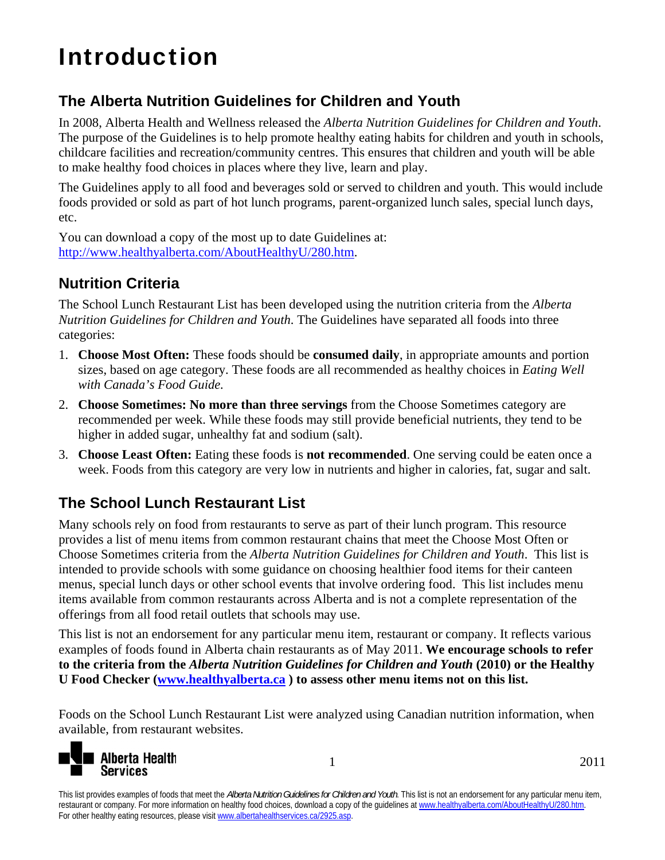## Introduction

#### **The Alberta Nutrition Guidelines for Children and Youth**

In 2008, Alberta Health and Wellness released the *Alberta Nutrition Guidelines for Children and Youth*. The purpose of the Guidelines is to help promote healthy eating habits for children and youth in schools, childcare facilities and recreation/community centres. This ensures that children and youth will be able to make healthy food choices in places where they live, learn and play.

The Guidelines apply to all food and beverages sold or served to children and youth. This would include foods provided or sold as part of hot lunch programs, parent-organized lunch sales, special lunch days, etc.

You can download a copy of the most up to date Guidelines at: http://www.healthyalberta.com/AboutHealthyU/280.htm.

#### **Nutrition Criteria**

The School Lunch Restaurant List has been developed using the nutrition criteria from the *Alberta Nutrition Guidelines for Children and Youth*. The Guidelines have separated all foods into three categories:

- 1. **Choose Most Often:** These foods should be **consumed daily**, in appropriate amounts and portion sizes, based on age category. These foods are all recommended as healthy choices in *Eating Well with Canada's Food Guide.*
- 2. **Choose Sometimes: No more than three servings** from the Choose Sometimes category are recommended per week. While these foods may still provide beneficial nutrients, they tend to be higher in added sugar, unhealthy fat and sodium (salt).
- 3. **Choose Least Often:** Eating these foods is **not recommended**. One serving could be eaten once a week. Foods from this category are very low in nutrients and higher in calories, fat, sugar and salt.

#### **The School Lunch Restaurant List**

Many schools rely on food from restaurants to serve as part of their lunch program. This resource provides a list of menu items from common restaurant chains that meet the Choose Most Often or Choose Sometimes criteria from the *Alberta Nutrition Guidelines for Children and Youth*. This list is intended to provide schools with some guidance on choosing healthier food items for their canteen menus, special lunch days or other school events that involve ordering food. This list includes menu items available from common restaurants across Alberta and is not a complete representation of the offerings from all food retail outlets that schools may use.

This list is not an endorsement for any particular menu item, restaurant or company. It reflects various examples of foods found in Alberta chain restaurants as of May 2011. **We encourage schools to refer to the criteria from the** *Alberta Nutrition Guidelines for Children and Youth* **(2010) or the Healthy U Food Checker (www.healthyalberta.ca ) to assess other menu items not on this list.**

Foods on the School Lunch Restaurant List were analyzed using Canadian nutrition information, when available, from restaurant websites.



1 2011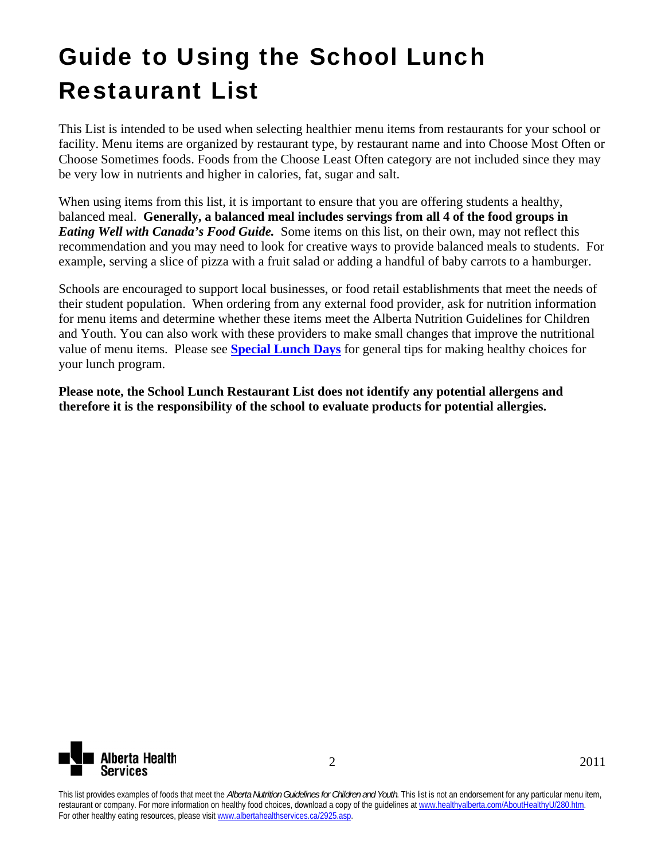## Guide to Using the School Lunch Restaurant List

This List is intended to be used when selecting healthier menu items from restaurants for your school or facility. Menu items are organized by restaurant type, by restaurant name and into Choose Most Often or Choose Sometimes foods. Foods from the Choose Least Often category are not included since they may be very low in nutrients and higher in calories, fat, sugar and salt.

When using items from this list, it is important to ensure that you are offering students a healthy, balanced meal. **Generally, a balanced meal includes servings from all 4 of the food groups in**  *Eating Well with Canada's Food Guide.* Some items on this list, on their own, may not reflect this recommendation and you may need to look for creative ways to provide balanced meals to students. For example, serving a slice of pizza with a fruit salad or adding a handful of baby carrots to a hamburger.

Schools are encouraged to support local businesses, or food retail establishments that meet the needs of their student population. When ordering from any external food provider, ask for nutrition information for menu items and determine whether these items meet the Alberta Nutrition Guidelines for Children and Youth. You can also work with these providers to make small changes that improve the nutritional value of menu items. Please see **Special Lunch Days** for general tips for making healthy choices for your lunch program.

**Please note, the School Lunch Restaurant List does not identify any potential allergens and therefore it is the responsibility of the school to evaluate products for potential allergies.** 

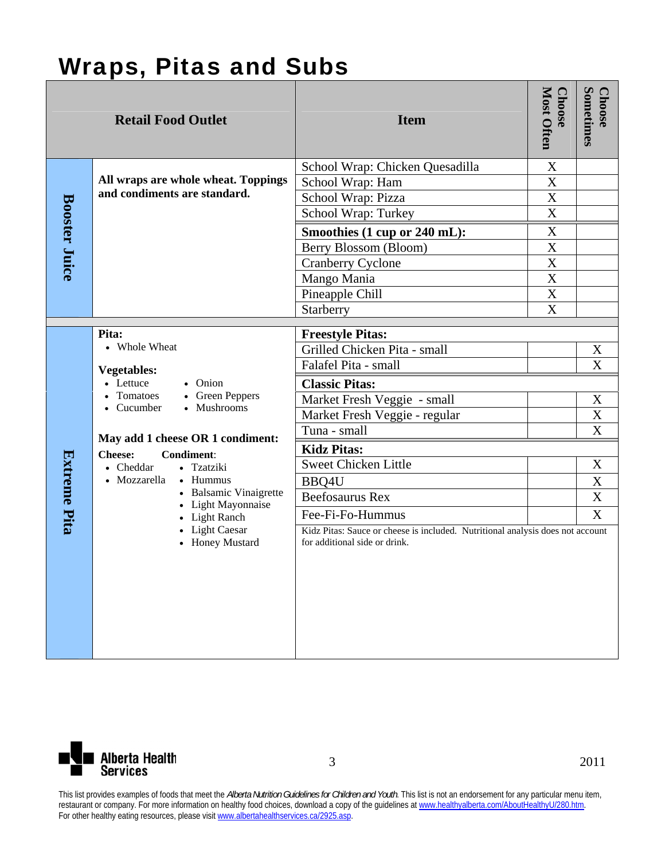### Wraps, Pitas and Subs

| <b>Retail Food Outlet</b> |                                                                                                                           | <b>Item</b>                                                                                                     | Most Often<br><b>Choose</b>          | Sometimes<br><b>Choose</b> |
|---------------------------|---------------------------------------------------------------------------------------------------------------------------|-----------------------------------------------------------------------------------------------------------------|--------------------------------------|----------------------------|
|                           |                                                                                                                           | School Wrap: Chicken Quesadilla                                                                                 | X                                    |                            |
|                           | All wraps are whole wheat. Toppings<br>and condiments are standard.                                                       | School Wrap: Ham                                                                                                | X                                    |                            |
|                           |                                                                                                                           | School Wrap: Pizza                                                                                              | $\overline{\text{X}}$<br>$\mathbf X$ |                            |
| <b>Booster Juice</b>      |                                                                                                                           | School Wrap: Turkey                                                                                             |                                      |                            |
|                           |                                                                                                                           | Smoothies (1 cup or 240 mL):                                                                                    | X                                    |                            |
|                           |                                                                                                                           | Berry Blossom (Bloom)                                                                                           | X<br>X                               |                            |
|                           |                                                                                                                           | <b>Cranberry Cyclone</b>                                                                                        | X                                    |                            |
|                           |                                                                                                                           | Mango Mania<br>Pineapple Chill                                                                                  | X                                    |                            |
|                           |                                                                                                                           | Starberry                                                                                                       | X                                    |                            |
|                           |                                                                                                                           |                                                                                                                 |                                      |                            |
|                           | Pita:                                                                                                                     | <b>Freestyle Pitas:</b>                                                                                         |                                      |                            |
|                           | • Whole Wheat<br><b>Vegetables:</b><br>• Lettuce<br>• Onion<br>• Tomatoes<br>• Green Peppers<br>• Mushrooms<br>• Cucumber | Grilled Chicken Pita - small                                                                                    |                                      | X                          |
|                           |                                                                                                                           | Falafel Pita - small                                                                                            |                                      | X                          |
|                           |                                                                                                                           | <b>Classic Pitas:</b>                                                                                           |                                      |                            |
|                           |                                                                                                                           | Market Fresh Veggie - small                                                                                     |                                      | X                          |
|                           |                                                                                                                           | Market Fresh Veggie - regular                                                                                   |                                      | $\mathbf X$                |
|                           | May add 1 cheese OR 1 condiment:                                                                                          | Tuna - small                                                                                                    |                                      | X                          |
|                           | <b>Condiment:</b><br><b>Cheese:</b>                                                                                       | <b>Kidz Pitas:</b>                                                                                              |                                      |                            |
|                           | • Cheddar<br>• Tzatziki                                                                                                   | <b>Sweet Chicken Little</b>                                                                                     |                                      | X                          |
|                           | • Hummus<br>• Mozzarella                                                                                                  | BBQ4U                                                                                                           |                                      | $\mathbf X$                |
|                           | • Balsamic Vinaigrette<br>• Light Mayonnaise                                                                              | <b>Beefosaurus Rex</b>                                                                                          |                                      | $\overline{\text{X}}$      |
|                           | • Light Ranch                                                                                                             | Fee-Fi-Fo-Hummus                                                                                                |                                      | $\boldsymbol{\mathrm{X}}$  |
| Extreme Pita              | • Light Caesar<br>• Honey Mustard                                                                                         | Kidz Pitas: Sauce or cheese is included. Nutritional analysis does not account<br>for additional side or drink. |                                      |                            |

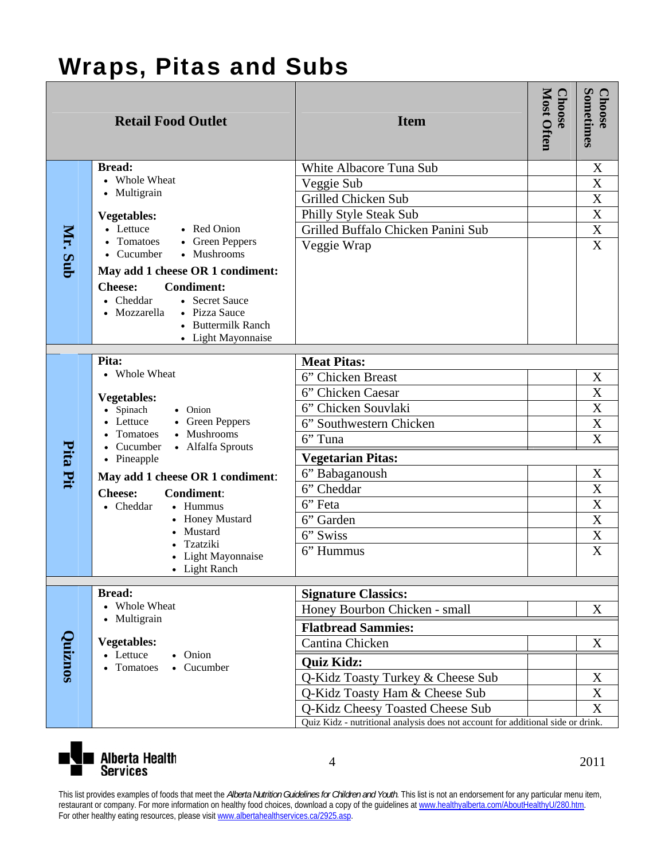## Wraps, Pitas and Subs

|          | <b>Retail Food Outlet</b>                                          | <b>Item</b>                                                                     | Most Often<br><b>Choose</b> | Sometimes<br><b>Choose</b> |
|----------|--------------------------------------------------------------------|---------------------------------------------------------------------------------|-----------------------------|----------------------------|
|          | <b>Bread:</b>                                                      | White Albacore Tuna Sub                                                         |                             | X                          |
|          | • Whole Wheat                                                      | Veggie Sub                                                                      |                             | X                          |
|          | • Multigrain                                                       | Grilled Chicken Sub                                                             |                             | X                          |
|          | <b>Vegetables:</b>                                                 | Philly Style Steak Sub                                                          |                             | X                          |
|          | • Lettuce<br>• Red Onion                                           | Grilled Buffalo Chicken Panini Sub                                              |                             | X                          |
|          | Tomatoes<br>• Green Peppers<br>• Mushrooms<br>• Cucumber           | Veggie Wrap                                                                     |                             | $\mathbf X$                |
| Mr. Sub  |                                                                    |                                                                                 |                             |                            |
|          | May add 1 cheese OR 1 condiment:                                   |                                                                                 |                             |                            |
|          | <b>Condiment:</b><br><b>Cheese:</b><br>• Cheddar<br>• Secret Sauce |                                                                                 |                             |                            |
|          | • Pizza Sauce<br>Mozzarella                                        |                                                                                 |                             |                            |
|          | • Buttermilk Ranch                                                 |                                                                                 |                             |                            |
|          | • Light Mayonnaise                                                 |                                                                                 |                             |                            |
|          | Pita:                                                              | <b>Meat Pitas:</b>                                                              |                             |                            |
|          | • Whole Wheat<br><b>Vegetables:</b><br>• Spinach<br>• Onion        | 6" Chicken Breast                                                               |                             | X                          |
|          |                                                                    | 6" Chicken Caesar                                                               |                             | X                          |
|          |                                                                    | 6" Chicken Souvlaki                                                             |                             | X                          |
|          | Lettuce<br>• Green Peppers                                         | 6" Southwestern Chicken                                                         |                             | X                          |
|          | Tomatoes<br>• Mushrooms<br>Cucumber<br>• Alfalfa Sprouts           | 6" Tuna                                                                         |                             | X                          |
| Pita Pit | • Pineapple                                                        | <b>Vegetarian Pitas:</b>                                                        |                             |                            |
|          | May add 1 cheese OR 1 condiment:                                   | 6" Babaganoush                                                                  |                             | X                          |
|          | <b>Condiment:</b><br><b>Cheese:</b>                                | 6" Cheddar                                                                      |                             | X                          |
|          | • Hummus<br>• Cheddar                                              | 6" Feta                                                                         |                             | X                          |
|          | <b>Honey Mustard</b>                                               | 6" Garden                                                                       |                             | X                          |
|          | Mustard<br>Tzatziki                                                | 6" Swiss                                                                        |                             | $\overline{\text{X}}$      |
|          | Light Mayonnaise                                                   | 6" Hummus                                                                       |                             | X                          |
|          | • Light Ranch                                                      |                                                                                 |                             |                            |
|          | <b>Bread:</b>                                                      | <b>Signature Classics:</b>                                                      |                             |                            |
|          | • Whole Wheat                                                      | Honey Bourbon Chicken - small                                                   |                             | X                          |
|          | • Multigrain                                                       |                                                                                 |                             |                            |
|          | <b>Vegetables:</b>                                                 | <b>Flatbread Sammies:</b>                                                       |                             |                            |
|          | • Lettuce<br>• Onion                                               | Cantina Chicken                                                                 |                             | X                          |
| Quiznos  | Tomatoes<br>• Cucumber                                             | <b>Quiz Kidz:</b>                                                               |                             |                            |
|          |                                                                    | Q-Kidz Toasty Turkey & Cheese Sub                                               |                             | X                          |
|          |                                                                    | Q-Kidz Toasty Ham & Cheese Sub                                                  |                             | $\mathbf X$                |
|          |                                                                    | Q-Kidz Cheesy Toasted Cheese Sub                                                |                             | X                          |
|          |                                                                    | Quiz Kidz - nutritional analysis does not account for additional side or drink. |                             |                            |



4 2011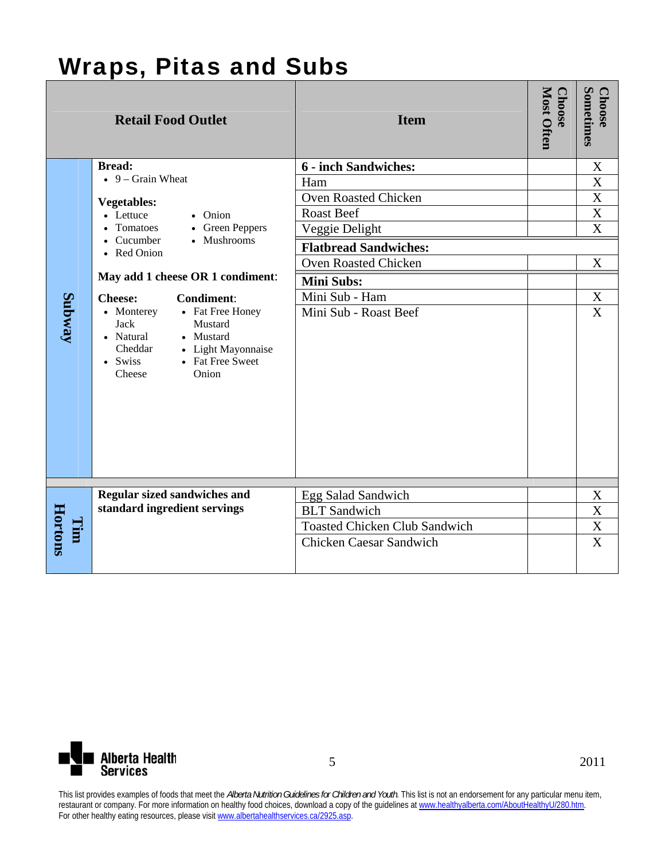#### Wraps, Pitas and Subs

|         | <b>Retail Food Outlet</b>                                                                                                                                                     | <b>Item</b>                          | Most Often<br><b>Choose</b> | Sometimes<br><b>Choose</b> |
|---------|-------------------------------------------------------------------------------------------------------------------------------------------------------------------------------|--------------------------------------|-----------------------------|----------------------------|
|         | <b>Bread:</b>                                                                                                                                                                 | <b>6 - inch Sandwiches:</b>          |                             | X                          |
|         | $\bullet$ 9 – Grain Wheat                                                                                                                                                     | Ham                                  |                             | X                          |
|         | <b>Vegetables:</b>                                                                                                                                                            | Oven Roasted Chicken                 |                             | X                          |
|         | • Lettuce<br>• Onion                                                                                                                                                          | <b>Roast Beef</b>                    |                             | X                          |
|         | • Tomatoes<br>• Green Peppers                                                                                                                                                 | Veggie Delight                       |                             | $\overline{\text{X}}$      |
|         | • Cucumber<br>• Mushrooms<br>• Red Onion                                                                                                                                      | <b>Flatbread Sandwiches:</b>         |                             |                            |
|         |                                                                                                                                                                               | Oven Roasted Chicken                 |                             | $\boldsymbol{X}$           |
|         | May add 1 cheese OR 1 condiment:                                                                                                                                              | <b>Mini Subs:</b>                    |                             |                            |
|         | <b>Cheese:</b><br><b>Condiment:</b>                                                                                                                                           | Mini Sub - Ham                       |                             | $\mathbf X$                |
| Subway  | • Fat Free Honey<br>• Monterey<br><b>Jack</b><br>Mustard<br>• Natural<br>• Mustard<br>Cheddar<br>• Light Mayonnaise<br>• Fat Free Sweet<br>$\bullet$ Swiss<br>Onion<br>Cheese | Mini Sub - Roast Beef                |                             | X                          |
|         | <b>Regular sized sandwiches and</b>                                                                                                                                           | Egg Salad Sandwich                   |                             | X                          |
|         | standard ingredient servings                                                                                                                                                  | <b>BLT</b> Sandwich                  |                             | X                          |
| Tim     |                                                                                                                                                                               | <b>Toasted Chicken Club Sandwich</b> |                             | $\overline{\text{X}}$      |
| Hortons |                                                                                                                                                                               | <b>Chicken Caesar Sandwich</b>       |                             | $\mathbf X$                |

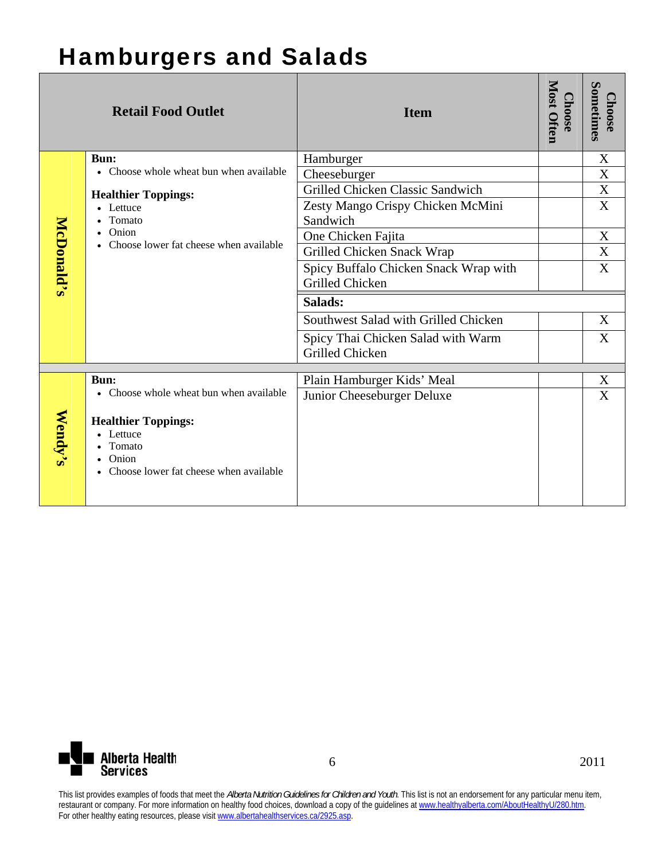### Hamburgers and Salads

|                   | <b>Retail Food Outlet</b>                         | <b>Item</b>                           | Most Often<br><b>Choose</b> | Sometimes<br>hoose |
|-------------------|---------------------------------------------------|---------------------------------------|-----------------------------|--------------------|
|                   | <b>Bun:</b>                                       | Hamburger                             |                             | X                  |
|                   | • Choose whole wheat bun when available           | Cheeseburger                          |                             | X                  |
|                   | <b>Healthier Toppings:</b>                        | Grilled Chicken Classic Sandwich      |                             | X                  |
|                   | • Lettuce                                         | Zesty Mango Crispy Chicken McMini     |                             | X                  |
|                   | Tomato                                            | Sandwich                              |                             |                    |
|                   | Onion<br>• Choose lower fat cheese when available | One Chicken Fajita                    |                             | X                  |
|                   |                                                   | Grilled Chicken Snack Wrap            |                             | X                  |
|                   |                                                   | Spicy Buffalo Chicken Snack Wrap with |                             | X                  |
| <b>McDonald's</b> |                                                   | Grilled Chicken                       |                             |                    |
|                   |                                                   | Salads:                               |                             |                    |
|                   |                                                   | Southwest Salad with Grilled Chicken  |                             | X                  |
|                   |                                                   | Spicy Thai Chicken Salad with Warm    |                             | X                  |
|                   |                                                   | <b>Grilled Chicken</b>                |                             |                    |
|                   | <b>Bun:</b>                                       | Plain Hamburger Kids' Meal            |                             | X                  |
|                   | • Choose whole wheat bun when available           | Junior Cheeseburger Deluxe            |                             | X                  |
|                   |                                                   |                                       |                             |                    |
|                   | <b>Healthier Toppings:</b>                        |                                       |                             |                    |
|                   | Lettuce                                           |                                       |                             |                    |
| Wendy's           | Tomato                                            |                                       |                             |                    |
|                   | Onion<br>• Choose lower fat cheese when available |                                       |                             |                    |
|                   |                                                   |                                       |                             |                    |
|                   |                                                   |                                       |                             |                    |

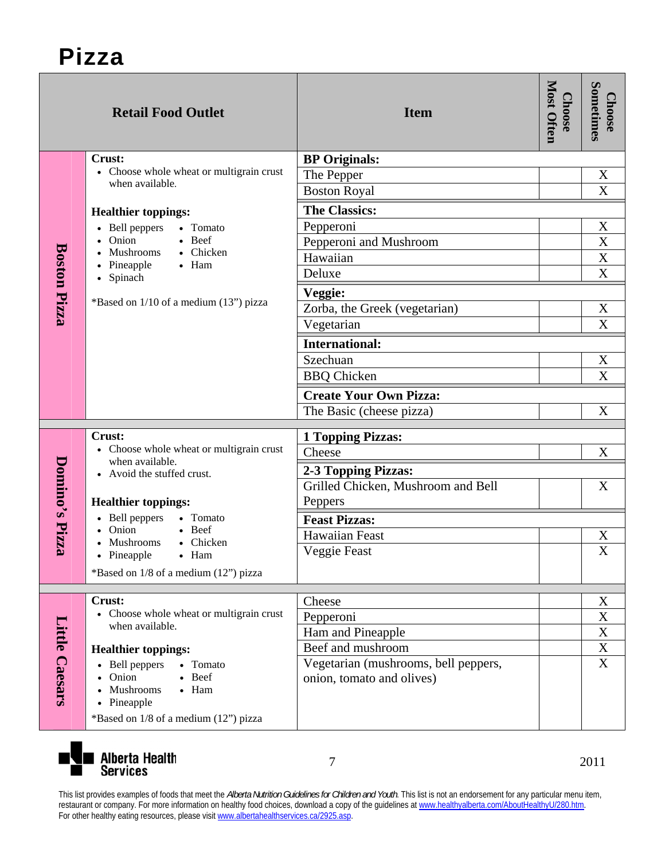|                     | <b>Retail Food Outlet</b>                                                                 | <b>Item</b>                          | Most Often<br><b>Choose</b> | Sometimes<br><b>Choose</b>     |
|---------------------|-------------------------------------------------------------------------------------------|--------------------------------------|-----------------------------|--------------------------------|
|                     | Crust:                                                                                    | <b>BP</b> Originals:                 |                             |                                |
|                     | • Choose whole wheat or multigrain crust<br>when available.                               | The Pepper                           |                             | X                              |
|                     |                                                                                           | <b>Boston Royal</b>                  |                             | X                              |
|                     | <b>Healthier toppings:</b>                                                                | <b>The Classics:</b>                 |                             |                                |
|                     | • Bell peppers<br>• Tomato                                                                | Pepperoni                            |                             | $\mathbf X$                    |
|                     | Onion<br>• Beef<br>Mushrooms<br>• Chicken                                                 | Pepperoni and Mushroom               |                             | $\boldsymbol{\mathrm{X}}$      |
|                     | • Pineapple<br>$\bullet$ Ham                                                              | Hawaiian                             |                             | $\mathbf{X}$<br>$\overline{X}$ |
|                     | • Spinach                                                                                 | Deluxe                               |                             |                                |
| <b>Boston Pizza</b> | *Based on 1/10 of a medium (13") pizza                                                    | Veggie:                              |                             |                                |
|                     |                                                                                           | Zorba, the Greek (vegetarian)        |                             | X                              |
|                     |                                                                                           | Vegetarian                           |                             | $\mathbf X$                    |
|                     |                                                                                           | <b>International:</b>                |                             |                                |
|                     |                                                                                           | Szechuan                             |                             | X                              |
|                     |                                                                                           | <b>BBQ</b> Chicken                   |                             | $\boldsymbol{X}$               |
|                     |                                                                                           | <b>Create Your Own Pizza:</b>        |                             |                                |
|                     |                                                                                           | The Basic (cheese pizza)             |                             | X                              |
|                     | Crust:                                                                                    | <b>1 Topping Pizzas:</b>             |                             |                                |
|                     | • Choose whole wheat or multigrain crust<br>when available.<br>• Avoid the stuffed crust. | Cheese                               |                             | X                              |
|                     |                                                                                           | 2-3 Topping Pizzas:                  |                             |                                |
|                     |                                                                                           | Grilled Chicken, Mushroom and Bell   |                             | X                              |
|                     | <b>Healthier toppings:</b>                                                                | Peppers                              |                             |                                |
| Domino's Pizza      | • Bell peppers<br>• Tomato<br>• Onion                                                     | <b>Feast Pizzas:</b>                 |                             |                                |
|                     | $\bullet$ Beef<br>• Chicken<br>Mushrooms                                                  | Hawaiian Feast                       |                             | X                              |
|                     | Pineapple<br>$\bullet$ Ham                                                                | Veggie Feast                         |                             | X                              |
|                     | *Based on 1/8 of a medium (12") pizza                                                     |                                      |                             |                                |
|                     |                                                                                           |                                      |                             |                                |
|                     | Crust:<br>• Choose whole wheat or multigrain crust                                        | Cheese                               |                             | X<br>X                         |
|                     | when available.                                                                           | Pepperoni<br>Ham and Pineapple       |                             | $\mathbf X$                    |
|                     | <b>Healthier toppings:</b>                                                                | Beef and mushroom                    |                             | $\mathbf X$                    |
|                     | • Bell peppers<br>• Tomato                                                                | Vegetarian (mushrooms, bell peppers, |                             | $\boldsymbol{\mathrm{X}}$      |
| Little Caesars      | Onion<br>• Beef                                                                           | onion, tomato and olives)            |                             |                                |
|                     | Mushrooms<br>$\bullet$ Ham                                                                |                                      |                             |                                |
|                     | Pineapple                                                                                 |                                      |                             |                                |
|                     | *Based on 1/8 of a medium (12") pizza                                                     |                                      |                             |                                |



7 2011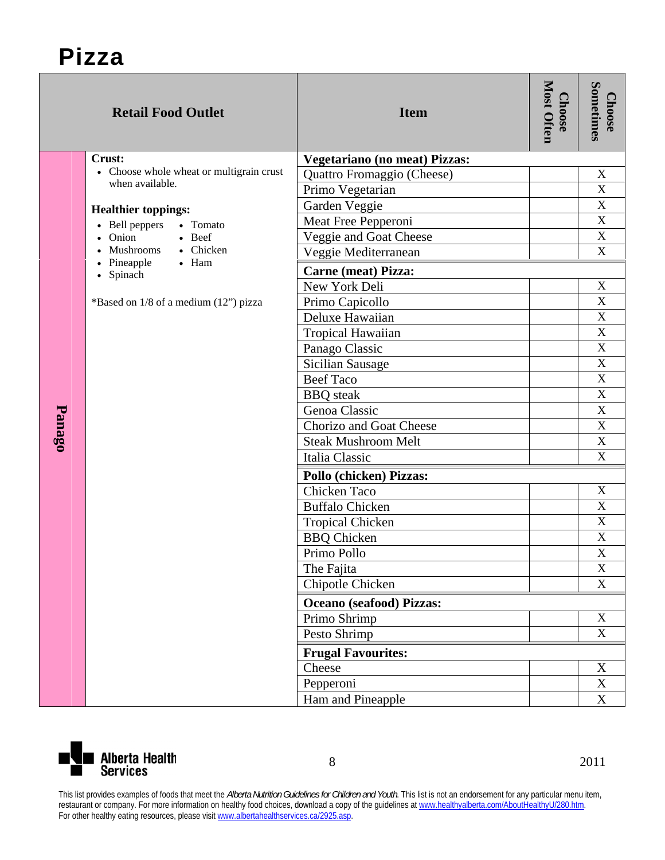|        | <b>Retail Food Outlet</b>                                   | <b>Item</b>                          | <b>Most Often</b><br><b>Choose</b> | Sometimes<br><b>Choose</b> |  |
|--------|-------------------------------------------------------------|--------------------------------------|------------------------------------|----------------------------|--|
|        | Crust:                                                      | <b>Vegetariano (no meat) Pizzas:</b> |                                    |                            |  |
|        | • Choose whole wheat or multigrain crust<br>when available. | Quattro Fromaggio (Cheese)           |                                    | X                          |  |
|        |                                                             | Primo Vegetarian                     |                                    | $\mathbf X$                |  |
|        | <b>Healthier toppings:</b>                                  | Garden Veggie                        |                                    | $\mathbf X$                |  |
|        | • Bell peppers<br>• Tomato                                  | Meat Free Pepperoni                  |                                    | $\mathbf X$                |  |
|        | Onion<br>$\bullet$ Beef                                     | Veggie and Goat Cheese               |                                    | $\mathbf X$                |  |
|        | • Mushrooms<br>• Chicken<br>• Pineapple<br>$\bullet$ Ham    | Veggie Mediterranean                 |                                    | $\overline{X}$             |  |
|        | • Spinach                                                   | <b>Carne (meat) Pizza:</b>           |                                    |                            |  |
|        |                                                             | New York Deli                        |                                    | $\mathbf X$                |  |
|        | *Based on 1/8 of a medium (12") pizza                       | Primo Capicollo                      |                                    | X                          |  |
|        |                                                             | Deluxe Hawaiian                      |                                    | $\mathbf X$                |  |
|        |                                                             | Tropical Hawaiian                    |                                    | $\mathbf X$                |  |
|        |                                                             | Panago Classic                       |                                    | $\mathbf X$                |  |
|        |                                                             | <b>Sicilian Sausage</b>              |                                    | $\mathbf X$                |  |
|        |                                                             | <b>Beef Taco</b>                     |                                    | $\overline{\mathbf{X}}$    |  |
|        |                                                             | <b>BBQ</b> steak                     |                                    | $\mathbf X$                |  |
| Panago |                                                             | Genoa Classic                        |                                    | $\mathbf X$                |  |
|        |                                                             | <b>Chorizo and Goat Cheese</b>       |                                    | $\mathbf X$                |  |
|        |                                                             | <b>Steak Mushroom Melt</b>           |                                    | $\mathbf X$                |  |
|        |                                                             | Italia Classic                       |                                    | $\mathbf X$                |  |
|        |                                                             | Pollo (chicken) Pizzas:              |                                    |                            |  |
|        |                                                             | Chicken Taco                         |                                    | $\mathbf X$                |  |
|        |                                                             | <b>Buffalo Chicken</b>               |                                    | $\mathbf X$                |  |
|        |                                                             | <b>Tropical Chicken</b>              |                                    | $\mathbf X$                |  |
|        |                                                             | <b>BBQ</b> Chicken                   |                                    | $\mathbf X$                |  |
|        |                                                             | Primo Pollo                          |                                    | $\overline{\mathbf{X}}$    |  |
|        |                                                             | The Fajita                           |                                    | $\mathbf X$                |  |
|        |                                                             | Chipotle Chicken                     |                                    | $\mathbf X$                |  |
|        |                                                             | <b>Oceano</b> (seafood) Pizzas:      |                                    |                            |  |
|        |                                                             | Primo Shrimp                         |                                    | $\mathbf X$                |  |
|        |                                                             | Pesto Shrimp                         |                                    | $\mathbf X$                |  |
|        |                                                             | <b>Frugal Favourites:</b>            |                                    |                            |  |
|        |                                                             | Cheese                               |                                    | X                          |  |
|        |                                                             | Pepperoni                            |                                    | X                          |  |
|        |                                                             | Ham and Pineapple                    |                                    | $\boldsymbol{\mathrm{X}}$  |  |

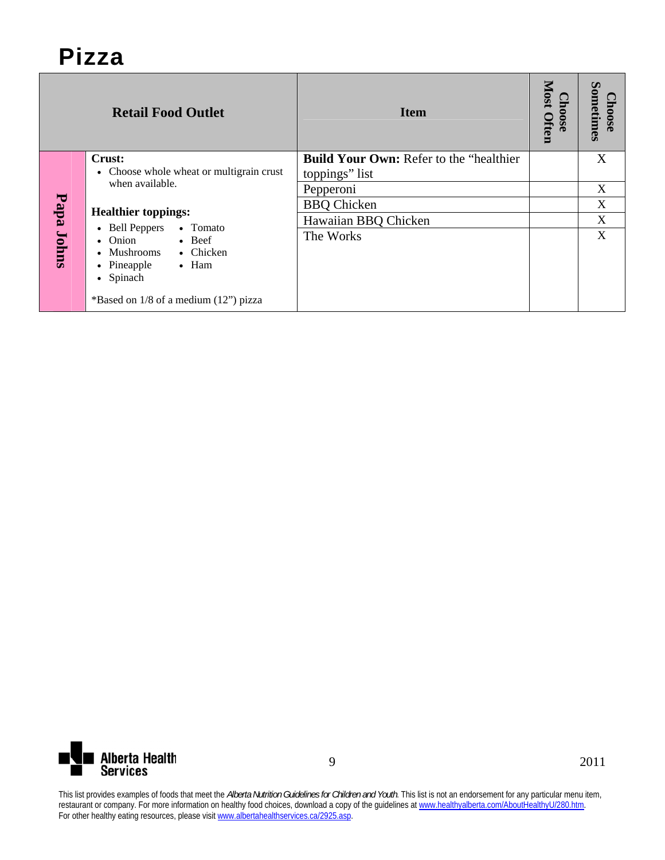|            | <b>Retail Food Outlet</b>                                                                                                                          | <b>Item</b>                                                       | <b>Most</b><br>1008e<br>Often | $\boldsymbol{\omega}$<br>ometimes<br><b>OSG</b> |
|------------|----------------------------------------------------------------------------------------------------------------------------------------------------|-------------------------------------------------------------------|-------------------------------|-------------------------------------------------|
|            | Crust:<br>Choose whole wheat or multigrain crust                                                                                                   | <b>Build Your Own: Refer to the "healthier"</b><br>toppings" list |                               | X                                               |
| Papa Johns | when available.                                                                                                                                    | Pepperoni                                                         |                               | X                                               |
|            | <b>Healthier toppings:</b><br>• Bell Peppers<br>• Tomato<br>$\bullet$ Onion<br>$\bullet$ Beef<br>• Chicken<br>$\bullet$ Mushrooms<br>$\bullet$ Ham | <b>BBQ</b> Chicken                                                |                               | X                                               |
|            |                                                                                                                                                    | Hawaiian BBQ Chicken                                              |                               | X                                               |
|            |                                                                                                                                                    | The Works                                                         |                               | X                                               |
|            | • Pineapple<br>• Spinach<br>*Based on $1/8$ of a medium $(12)$ " pizza                                                                             |                                                                   |                               |                                                 |

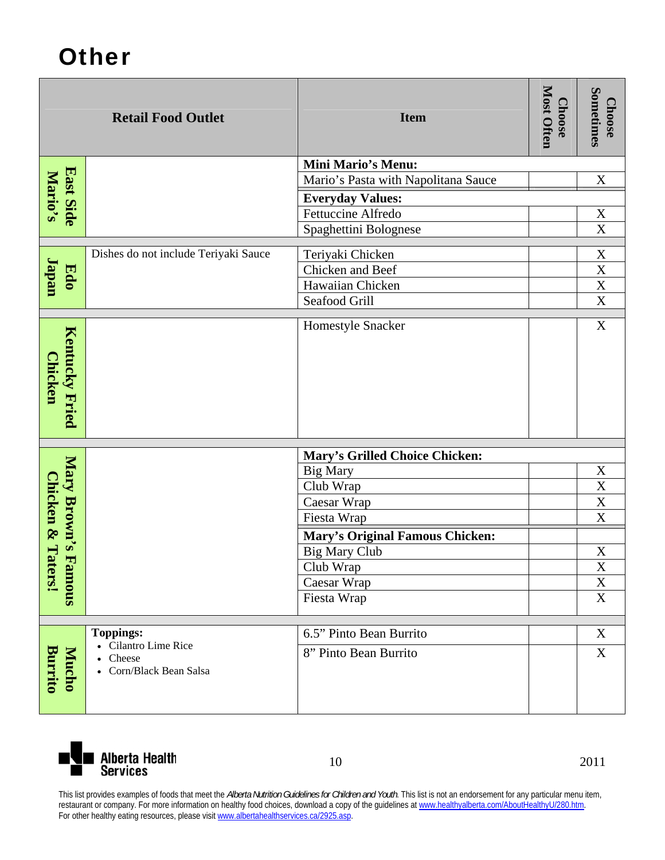## **Other**

|                                  | <b>Retail Food Outlet</b>                | <b>Item</b>                           | <b>Most Often</b><br><b>Choose</b> | Sometimes<br><b>Choose</b>          |
|----------------------------------|------------------------------------------|---------------------------------------|------------------------------------|-------------------------------------|
|                                  |                                          | <b>Mini Mario's Menu:</b>             |                                    |                                     |
| <b>East Side<br/>Mario's</b>     |                                          | Mario's Pasta with Napolitana Sauce   |                                    | $\mathbf X$                         |
|                                  |                                          | <b>Everyday Values:</b>               |                                    |                                     |
|                                  |                                          | Fettuccine Alfredo                    |                                    | $\mathbf X$                         |
|                                  |                                          | Spaghettini Bolognese                 |                                    | $\overline{\text{X}}$               |
|                                  | Dishes do not include Teriyaki Sauce     | Teriyaki Chicken                      |                                    |                                     |
| <b>Japan</b>                     |                                          | Chicken and Beef                      |                                    | $\frac{\overline{X}}{\overline{X}}$ |
| Edo                              |                                          | Hawaiian Chicken                      |                                    | $\overline{\text{X}}$               |
|                                  |                                          | Seafood Grill                         |                                    | $\overline{\mathbf{X}}$             |
| Kentucky Fried<br><b>Chicken</b> |                                          | Homestyle Snacker                     |                                    | $\overline{\text{X}}$               |
|                                  |                                          | <b>Mary's Grilled Choice Chicken:</b> |                                    |                                     |
| Mary Brown's F                   |                                          | <b>Big Mary</b>                       |                                    |                                     |
|                                  |                                          | Club Wrap                             |                                    | $\frac{X}{X}$                       |
|                                  |                                          | Caesar Wrap                           |                                    | $\frac{\overline{X}}{\overline{X}}$ |
|                                  |                                          | Fiesta Wrap                           |                                    |                                     |
| Chicken & Ta                     |                                          | Mary's Original Famous Chicken:       |                                    |                                     |
|                                  |                                          | <b>Big Mary Club</b>                  |                                    | $\mathbf X$                         |
|                                  |                                          | Club Wrap                             |                                    | $\overline{\textbf{X}}$             |
| ters!<br>snoure                  |                                          | Caesar Wrap                           |                                    | $\overline{\text{X}}$               |
|                                  |                                          | Fiesta Wrap                           |                                    | X                                   |
|                                  |                                          |                                       |                                    |                                     |
|                                  | <b>Toppings:</b><br>• Cilantro Lime Rice | 6.5" Pinto Bean Burrito               |                                    | X                                   |
| <b>Burrito</b><br><b>Mucho</b>   | Cheese<br>• Corn/Black Bean Salsa        | 8" Pinto Bean Burrito                 |                                    | $\mathbf X$                         |